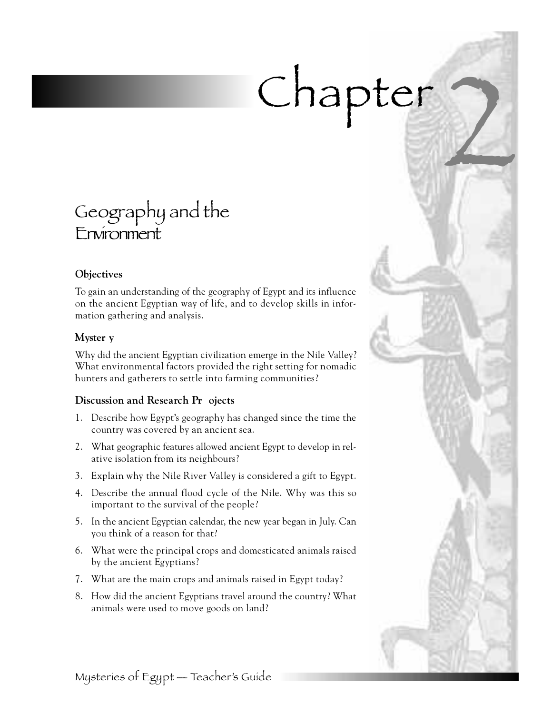# Chapter

# Geography and the Environment

# **Objectives**

To gain an understanding of the geography of Egypt and its influence on the ancient Egyptian way of life, and to develop skills in information gathering and analysis.

# **Myster y**

Why did the ancient Egyptian civilization emerge in the Nile Valley? What environmental factors provided the right setting for nomadic hunters and gatherers to settle into farming communities?

# **Discussion and Research Pr** ojects

- 1 . Describe how Egypt's geography has changed since the time the country was covered by an ancient sea.
- 2. What geographic features allowed ancient Egypt to develop in relative isolation from its neighbours?
- 3 . Explain why the Nile River Valley is considered a gift to Egypt.
- 4 . Describe the annual flood cycle of the Nile. Why was this so important to the survival of the people?
- 5 . In the ancient Egyptian calendar, the new year began in July. Can you think of a reason for that?
- 6 . What were the principal crops and domesticated animals raised by the ancient Egyptians?
- 7. What are the main crops and animals raised in Egypt today?
- 8 . How did the ancient Egyptians travel around the country? What animals were used to move goods on land?

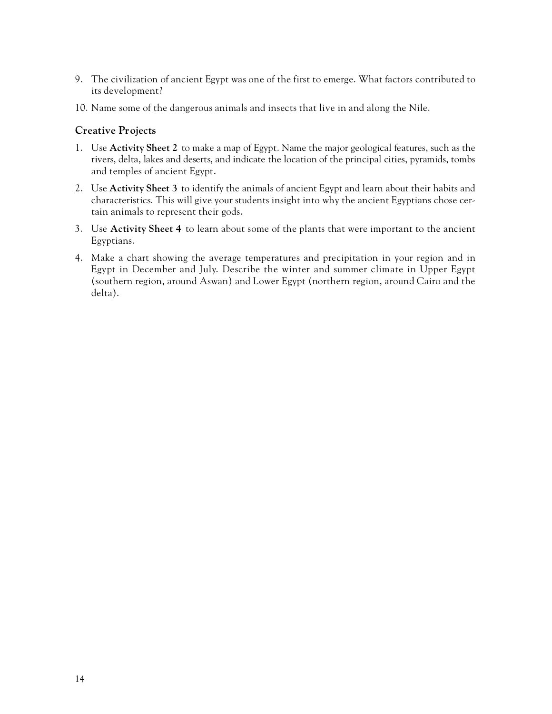- 9 . The civilization of ancient Egypt was one of the first to emerge. What factors contributed to its development?
- 10. Name some of the dangerous animals and insects that live in and along the Nile.

## **Creative Projects**

- 1 . Use **Activity Sheet 2** to make a map of Egypt. Name the major geological features, such as the rivers, delta, lakes and deserts, and indicate the location of the principal cities, pyramids, tombs and temples of ancient Egypt.
- 2 . Use **Activity Sheet 3** to identify the animals of ancient Egypt and learn about their habits and characteristics. This will give your students insight into why the ancient Egyptians chose certain animals to represent their gods.
- 3 . Use **Activity Sheet 4** to learn about some of the plants that were important to the ancient Egyptians.
- 4 . Make a chart showing the average temperatures and precipitation in your region and in Egypt in December and July. Describe the winter and summer climate in Upper Egypt (southern region, around Aswan) and Lower Egypt (northern region, around Cairo and the delta).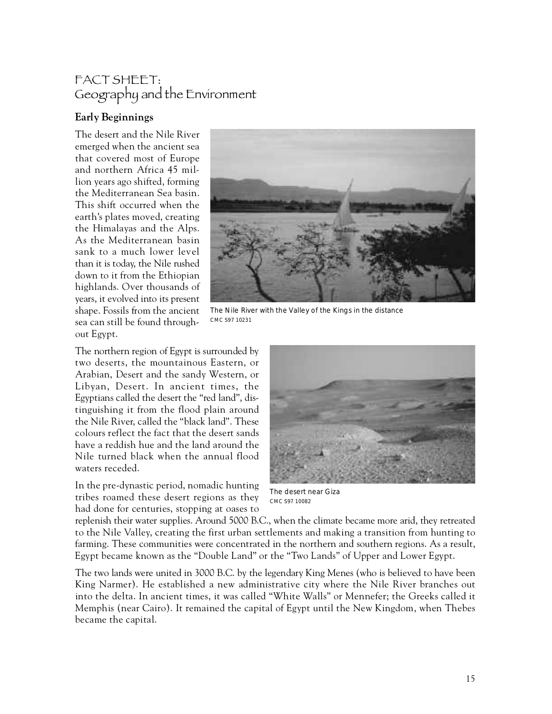# FACT SHEET: Geography and the Environment

# **Early Beginnings**

The desert and the Nile River emerged when the ancient sea that covered most of Europe and northern Africa 45 million years ago shifted, forming the Mediterranean Sea basin. This shift occurred when the earth's plates moved, creating the Himalayas and the Alps. As the Mediterranean basin sank to a much lower level than it is today, the Nile rushed down to it from the Ethiopian highlands. Over thousands of years, it evolved into its present shape. Fossils from the ancient sea can still be found throughout Egypt.



The Nile River with the Valley of the Kings in the distance CMC S97 10231

The northern region of Egypt is surrounded by two deserts, the mountainous Eastern, or Arabian, Desert and the sandy Western, or Libyan, Desert. In ancient times, the Egyptians called the desert the "red land", distinguishing it from the flood plain around the Nile River, called the "black land". These colours reflect the fact that the desert sands have a reddish hue and the land around the Nile turned black when the annual flood waters receded.

In the pre-dynastic period, nomadic hunting tribes roamed these desert regions as they had done for centuries, stopping at oases to



The desert near Giza CMC S97 10082

replenish their water supplies. Around 5000 B.C., when the climate became more arid, they retreated to the Nile Valley, creating the first urban settlements and making a transition from hunting to farming. These communities were concentrated in the northern and southern regions. As a result, Egypt became known as the "Double Land" or the "Two Lands" of Upper and Lower Egypt.

The two lands were united in 3000 B.C. by the legendary King Menes (who is believed to have been King Narmer). He established a new administrative city where the Nile River branches out into the delta. In ancient times, it was called "White Walls" or Mennefer; the Greeks called it Memphis (near Cairo). It remained the capital of Egypt until the New Kingdom, when Thebes became the capital.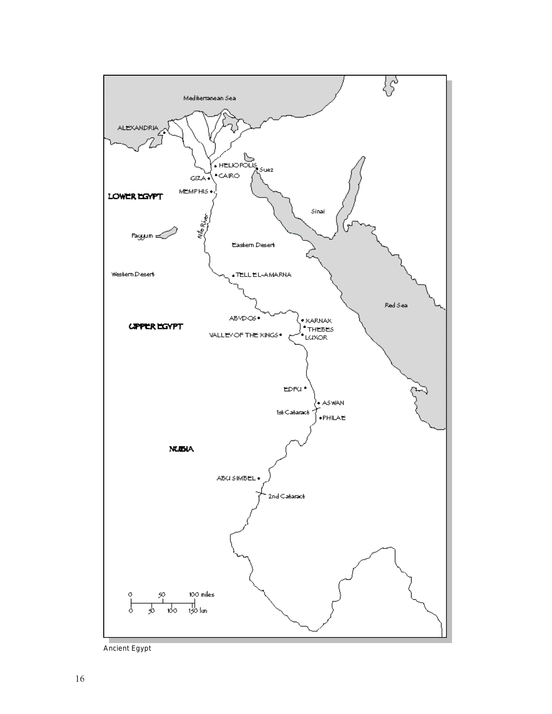

Ancient Egypt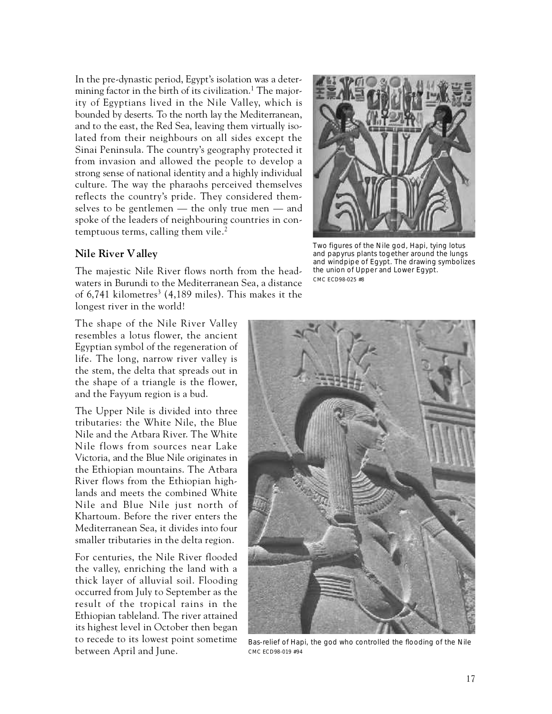In the pre-dynastic period, Egypt's isolation was a determining factor in the birth of its civilization.<sup>1</sup> The majority of Egyptians lived in the Nile Valley, which is bounded by deserts. To the north lay the Mediterranean, and to the east, the Red Sea, leaving them virtually isolated from their neighbours on all sides except the Sinai Peninsula. The country's geography protected it from invasion and allowed the people to develop a strong sense of national identity and a highly individual culture. The way the pharaohs perceived themselves reflects the country's pride. They considered themselves to be gentlemen — the only true men — and spoke of the leaders of neighbouring countries in contemptuous terms, calling them vile. $<sup>2</sup>$ </sup>

#### **Nile River Valley**

The majestic Nile River flows north from the headwaters in Burundi to the Mediterranean Sea, a distance of 6,741 kilometres $^3$  (4,189 miles). This makes it the longest river in the world!

The shape of the Nile River Valley resembles a lotus flower, the ancient Egyptian symbol of the regeneration of life. The long, narrow river valley is the stem, the delta that spreads out in the shape of a triangle is the flower, and the Fayyum region is a bud.

The Upper Nile is divided into three tributaries: the White Nile, the Blue Nile and the Atbara River. The White Nile flows from sources near Lake Victoria, and the Blue Nile originates in the Ethiopian mountains. The Atbara River flows from the Ethiopian highlands and meets the combined White Nile and Blue Nile just north of Khartoum. Before the river enters the Mediterranean Sea, it divides into four smaller tributaries in the delta region.

For centuries, the Nile River flooded the valley, enriching the land with a thick layer of alluvial soil. Flooding occurred from July to September as the result of the tropical rains in the Ethiopian tableland. The river attained its highest level in October then began to recede to its lowest point sometime between April and June.



Two figures of the Nile god, Hapi, tying lotus and papyrus plants together around the lungs and windpipe of Egypt. The drawing symbolizes the union of Upper and Lower Egypt. CMC ECD98-025 #8



Bas-relief of Hapi, the god who controlled the flooding of the Nile CMC ECD98-019 #94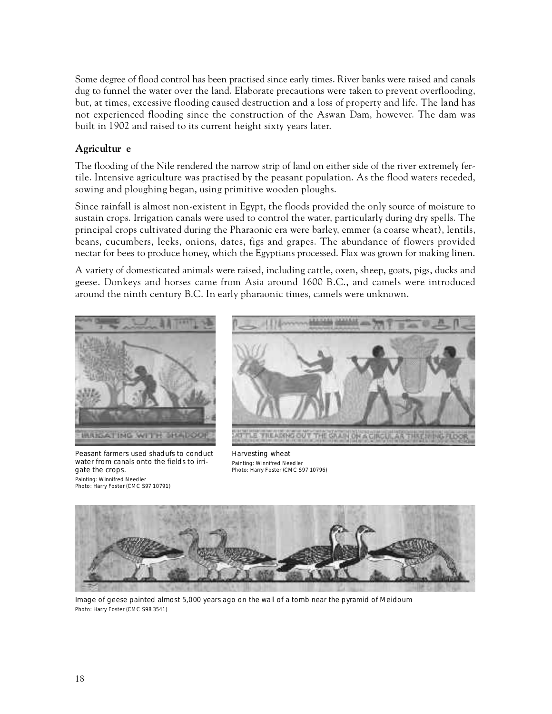Some degree of flood control has been practised since early times. River banks were raised and canals dug to funnel the water over the land. Elaborate precautions were taken to prevent overflooding, but, at times, excessive flooding caused destruction and a loss of property and life. The land has not experienced flooding since the construction of the Aswan Dam, however. The dam was built in 1902 and raised to its current height sixty years later.

### **Agricultur e**

The flooding of the Nile rendered the narrow strip of land on either side of the river extremely fertile. Intensive agriculture was practised by the peasant population. As the flood waters receded, sowing and ploughing began, using primitive wooden ploughs.

Since rainfall is almost non-existent in Egypt, the floods provided the only source of moisture to sustain crops. Irrigation canals were used to control the water, particularly during dry spells. The principal crops cultivated during the Pharaonic era were barley, emmer (a coarse wheat), lentils, beans, cucumbers, leeks, onions, dates, figs and grapes. The abundance of flowers provided nectar for bees to produce honey, which the Egyptians processed. Flax was grown for making linen.

A variety of domesticated animals were raised, including cattle, oxen, sheep, goats, pigs, ducks and geese. Donkeys and horses came from Asia around 1600 B.C., and camels were introduced around the ninth century B.C. In early pharaonic times, camels were unknown.



Peasant farmers used shadufs to conduct water from canals onto the fields to irrigate the crops. Painting: Winnifred Needler Photo: Harry Foster (CMC S97 10791)



Harvesting wheat Painting: Winnifred Needler Photo: Harry Foster (CMC S97 10796)



Image of geese painted almost 5,000 years ago on the wall of a tomb near the pyramid of Meidoum Photo: Harry Foster (CMC S98 3541)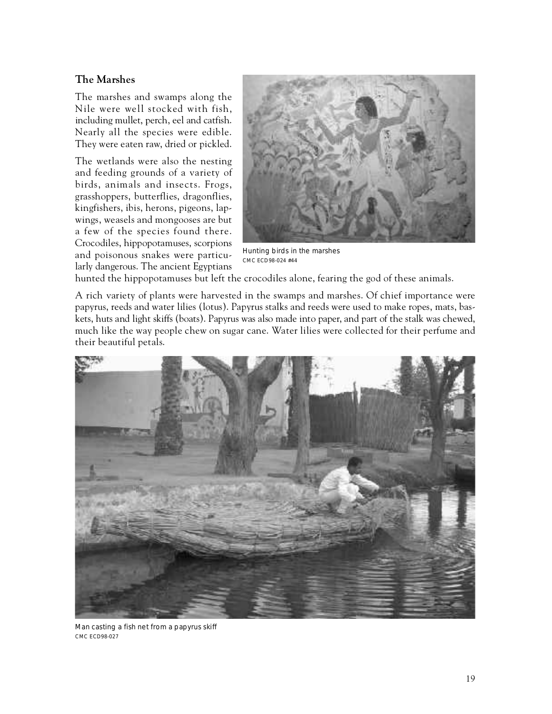# **The Marshes**

The marshes and swamps along the Nile were well stocked with fish, including mullet, perch, eel and catfish. Nearly all the species were edible. They were eaten raw, dried or pickled.

The wetlands were also the nesting and feeding grounds of a variety of birds, animals and insects. Frogs, grasshoppers, butterflies, dragonflies, kingfishers, ibis, herons, pigeons, lapwings, weasels and mongooses are but a few of the species found there. Crocodiles, hippopotamuses, scorpions and poisonous snakes were particularly dangerous. The ancient Egyptians



Hunting birds in the marshes CMC ECD98-024 #44

hunted the hippopotamuses but left the crocodiles alone, fearing the god of these animals.

A rich variety of plants were harvested in the swamps and marshes. Of chief importance were papyrus, reeds and water lilies (lotus). Papyrus stalks and reeds were used to make ropes, mats, baskets, huts and light skiffs (boats). Papyrus was also made into paper, and part of the stalk was chewed, much like the way people chew on sugar cane. Water lilies were collected for their perfume and their beautiful petals.



Man casting a fish net from a papyrus skiff CMC ECD98-027